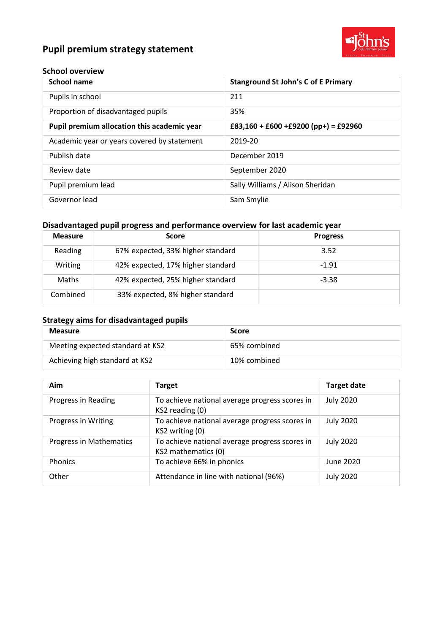# **Pupil premium strategy statement**



#### **School overview**

| <b>School name</b>                          | <b>Stanground St John's C of E Primary</b> |
|---------------------------------------------|--------------------------------------------|
| Pupils in school                            | 211                                        |
| Proportion of disadvantaged pupils          | 35%                                        |
| Pupil premium allocation this academic year | £83,160 + £600 + £9200 (pp+) = £92960      |
| Academic year or years covered by statement | 2019-20                                    |
| Publish date                                | December 2019                              |
| Review date                                 | September 2020                             |
| Pupil premium lead                          | Sally Williams / Alison Sheridan           |
| Governor lead                               | Sam Smylie                                 |

### **Disadvantaged pupil progress and performance overview for last academic year**

| <b>Measure</b> | <b>Score</b>                      | <b>Progress</b> |
|----------------|-----------------------------------|-----------------|
| Reading        | 67% expected, 33% higher standard | 3.52            |
| Writing        | 42% expected, 17% higher standard | $-1.91$         |
| Maths          | 42% expected, 25% higher standard | $-3.38$         |
| Combined       | 33% expected, 8% higher standard  |                 |

### **Strategy aims for disadvantaged pupils**

| <b>Measure</b>                   | <b>Score</b> |
|----------------------------------|--------------|
| Meeting expected standard at KS2 | 65% combined |
| Achieving high standard at KS2   | 10% combined |

| Aim                            | <b>Target</b>                                                         | <b>Target date</b> |
|--------------------------------|-----------------------------------------------------------------------|--------------------|
| Progress in Reading            | To achieve national average progress scores in<br>KS2 reading (0)     | <b>July 2020</b>   |
| Progress in Writing            | To achieve national average progress scores in<br>KS2 writing (0)     | <b>July 2020</b>   |
| <b>Progress in Mathematics</b> | To achieve national average progress scores in<br>KS2 mathematics (0) | <b>July 2020</b>   |
| <b>Phonics</b>                 | To achieve 66% in phonics                                             | June 2020          |
| Other                          | Attendance in line with national (96%)                                | <b>July 2020</b>   |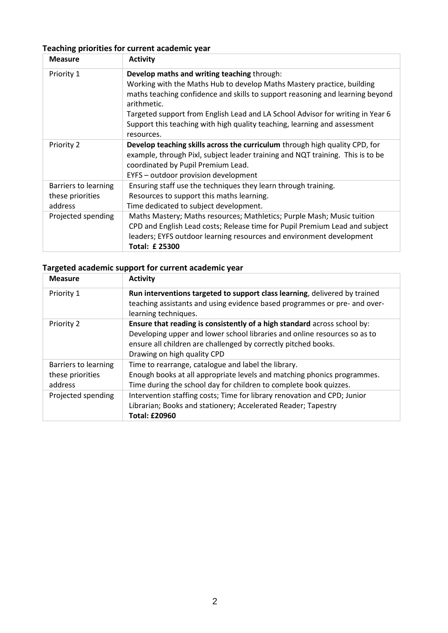## **Teaching priorities for current academic year**

| <b>Measure</b>       | <b>Activity</b>                                                                              |
|----------------------|----------------------------------------------------------------------------------------------|
| Priority 1           | Develop maths and writing teaching through:                                                  |
|                      | Working with the Maths Hub to develop Maths Mastery practice, building                       |
|                      | maths teaching confidence and skills to support reasoning and learning beyond<br>arithmetic. |
|                      | Targeted support from English Lead and LA School Advisor for writing in Year 6               |
|                      | Support this teaching with high quality teaching, learning and assessment                    |
|                      | resources.                                                                                   |
| Priority 2           | Develop teaching skills across the curriculum through high quality CPD, for                  |
|                      | example, through Pixl, subject leader training and NQT training. This is to be               |
|                      | coordinated by Pupil Premium Lead.                                                           |
|                      | EYFS - outdoor provision development                                                         |
| Barriers to learning | Ensuring staff use the techniques they learn through training.                               |
| these priorities     | Resources to support this maths learning.                                                    |
| address              | Time dedicated to subject development.                                                       |
| Projected spending   | Maths Mastery; Maths resources; Mathletics; Purple Mash; Music tuition                       |
|                      | CPD and English Lead costs; Release time for Pupil Premium Lead and subject                  |
|                      | leaders; EYFS outdoor learning resources and environment development                         |
|                      | <b>Total: £25300</b>                                                                         |

### **Targeted academic support for current academic year**

| <b>Measure</b>                                      | <b>Activity</b>                                                                                                                                                                                                                                        |
|-----------------------------------------------------|--------------------------------------------------------------------------------------------------------------------------------------------------------------------------------------------------------------------------------------------------------|
| Priority 1                                          | Run interventions targeted to support class learning, delivered by trained<br>teaching assistants and using evidence based programmes or pre- and over-<br>learning techniques.                                                                        |
| Priority 2                                          | Ensure that reading is consistently of a high standard across school by:<br>Developing upper and lower school libraries and online resources so as to<br>ensure all children are challenged by correctly pitched books.<br>Drawing on high quality CPD |
| Barriers to learning<br>these priorities<br>address | Time to rearrange, catalogue and label the library.<br>Enough books at all appropriate levels and matching phonics programmes.<br>Time during the school day for children to complete book quizzes.                                                    |
| Projected spending                                  | Intervention staffing costs; Time for library renovation and CPD; Junior<br>Librarian; Books and stationery; Accelerated Reader; Tapestry<br><b>Total: £20960</b>                                                                                      |